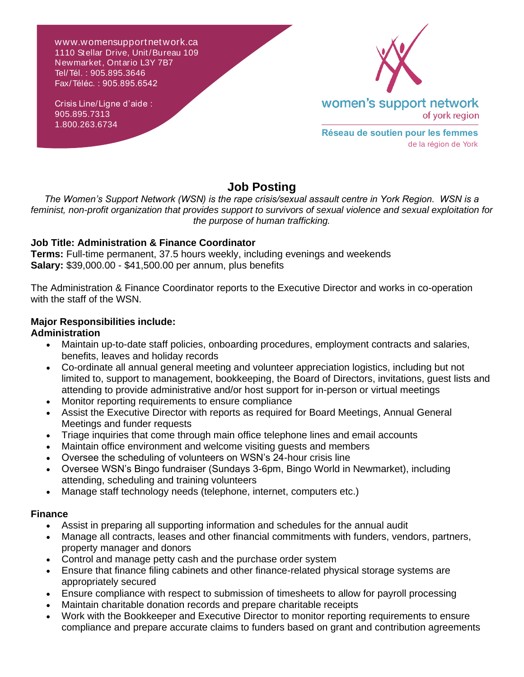w ww.womensupportnetwork.ca 1110 Stellar Drive, Unit/Bureau 109 Newmarket, Ontario L3Y 7B7 Tel/Tél. : 905.895.3646 Fax/Téléc. : 905.895.6542

Crisis Line/Ligne d'aide : 905.895.7313 1.800.263.6734



**Réseau de soutien pour les femmes** de la région de York

# **Job Posting**

*The Women's Support Network (WSN) is the rape crisis/sexual assault centre in York Region. WSN is a feminist, non-profit organization that provides support to survivors of sexual violence and sexual exploitation for the purpose of human trafficking.*

### **Job Title: Administration & Finance Coordinator**

**Terms:** Full-time permanent, 37.5 hours weekly, including evenings and weekends **Salary:** \$39,000.00 - \$41,500.00 per annum, plus benefits

The Administration & Finance Coordinator reports to the Executive Director and works in co-operation with the staff of the WSN.

#### **Major Responsibilities include: Administration**

- Maintain up-to-date staff policies, onboarding procedures, employment contracts and salaries, benefits, leaves and holiday records
- Co-ordinate all annual general meeting and volunteer appreciation logistics, including but not limited to, support to management, bookkeeping, the Board of Directors, invitations, guest lists and attending to provide administrative and/or host support for in-person or virtual meetings
- Monitor reporting requirements to ensure compliance
- Assist the Executive Director with reports as required for Board Meetings, Annual General Meetings and funder requests
- Triage inquiries that come through main office telephone lines and email accounts
- Maintain office environment and welcome visiting guests and members
- Oversee the scheduling of volunteers on WSN's 24-hour crisis line
- Oversee WSN's Bingo fundraiser (Sundays 3-6pm, Bingo World in Newmarket), including attending, scheduling and training volunteers
- Manage staff technology needs (telephone, internet, computers etc.)

### **Finance**

- Assist in preparing all supporting information and schedules for the annual audit
- Manage all contracts, leases and other financial commitments with funders, vendors, partners, property manager and donors
- Control and manage petty cash and the purchase order system
- Ensure that finance filing cabinets and other finance-related physical storage systems are appropriately secured
- Ensure compliance with respect to submission of timesheets to allow for payroll processing
- Maintain charitable donation records and prepare charitable receipts
- Work with the Bookkeeper and Executive Director to monitor reporting requirements to ensure compliance and prepare accurate claims to funders based on grant and contribution agreements